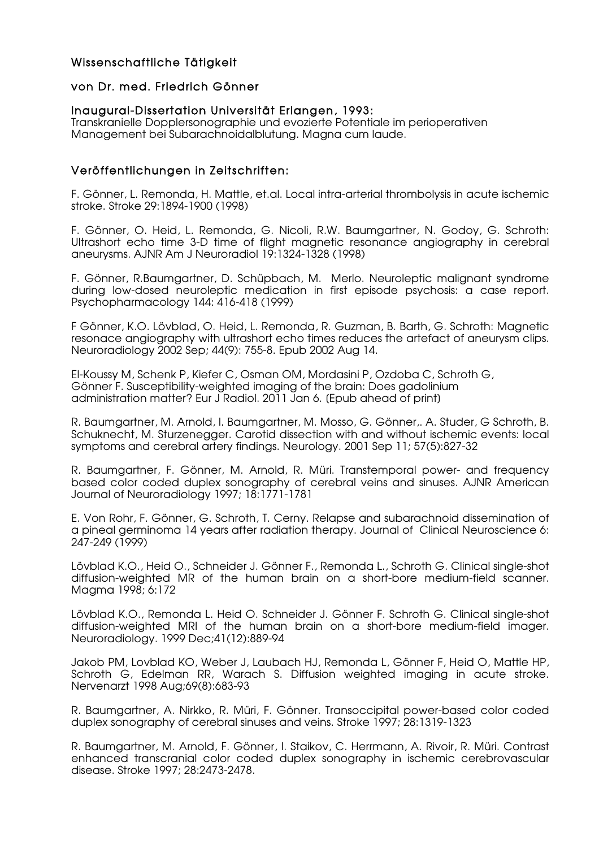## Wissenschaftliche Tätigkeit

#### von Dr. med. Friedrich Gönner

#### Inaugural-Dissertation Universität Erlangen, 1993:

Transkranielle Dopplersonographie und evozierte Potentiale im perioperativen Management bei Subarachnoidalblutung. Magna cum laude.

### Veröffentlichungen in Zeitschriften:

F. Gönner, L. Remonda, H. Mattle, et.al. Local intra-arterial thrombolysis in acute ischemic stroke. Stroke 29:1894-1900 (1998)

F. Gönner, O. Heid, L. Remonda, G. Nicoli, R.W. Baumgartner, N. Godoy, G. Schroth: Ultrashort echo time 3-D time of flight magnetic resonance angiography in cerebral aneurysms. AJNR Am J Neuroradiol 19:1324-1328 (1998)

F. Gönner, R.Baumgartner, D. Schüpbach, M. Merlo. Neuroleptic malignant syndrome during low-dosed neuroleptic medication in first episode psychosis: a case report. Psychopharmacology 144: 416-418 (1999)

F Gönner, K.O. Lövblad, O. Heid, L. Remonda, R. Guzman, B. Barth, G. Schroth: Magnetic resonace angiography with ultrashort echo times reduces the artefact of aneurysm clips. Neuroradiology 2002 Sep; 44(9): 755-8. Epub 2002 Aug 14.

El-Koussy M, Schenk P, Kiefer C, Osman OM, Mordasini P, Ozdoba C, Schroth G, Gönner F. Susceptibility-weighted imaging of the brain: Does gadolinium administration matter? Eur J Radiol. 2011 Jan 6. [Epub ahead of print]

R. Baumgartner, M. Arnold, I. Baumgartner, M. Mosso, G. Gönner,. A. Studer, G Schroth, B. Schuknecht, M. Sturzenegger. Carotid dissection with and without ischemic events: local symptoms and cerebral artery findings. Neurology. 2001 Sep 11; 57(5):827-32

R. Baumgartner, F. Gönner, M. Arnold, R. Müri. Transtemporal power- and frequency based color coded duplex sonography of cerebral veins and sinuses. AJNR American Journal of Neuroradiology 1997; 18:1771-1781

E. Von Rohr, F. Gönner, G. Schroth, T. Cerny. Relapse and subarachnoid dissemination of a pineal germinoma 14 years after radiation therapy. Journal of Clinical Neuroscience 6: 247-249 (1999)

Lövblad K.O., Heid O., Schneider J. Gönner F., Remonda L., Schroth G. Clinical single-shot diffusion-weighted MR of the human brain on a short-bore medium-field scanner. Magma 1998; 6:172

Lövblad K.O., Remonda L. Heid O. Schneider J. Gönner F. Schroth G. Clinical single-shot diffusion-weighted MRI of the human brain on a short-bore medium-field imager. Neuroradiology. 1999 Dec;41(12):889-94

Jakob PM, Lovblad KO, Weber J, Laubach HJ, Remonda L, Gönner F, Heid O, Mattle HP, Schroth G, Edelman RR, Warach S. Diffusion weighted imaging in acute stroke. Nervenarzt 1998 Aug;69(8):683-93

R. Baumgartner, A. Nirkko, R. Müri, F. Gönner. Transoccipital power-based color coded duplex sonography of cerebral sinuses and veins. Stroke 1997; 28:1319-1323

R. Baumgartner, M. Arnold, F. Gönner, I. Staikov, C. Herrmann, A. Rivoir, R. Müri. Contrast enhanced transcranial color coded duplex sonography in ischemic cerebrovascular disease. Stroke 1997; 28:2473-2478.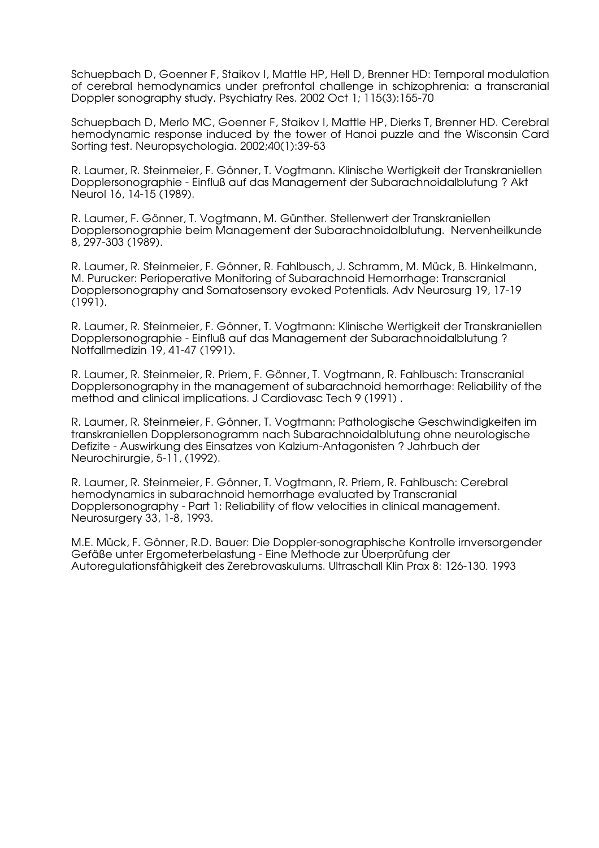Schuepbach D, Goenner F, Staikov I, Mattle HP, Hell D, Brenner HD: Temporal modulation of cerebral hemodynamics under prefrontal challenge in schizophrenia: a transcranial Doppler sonography study. Psychiatry Res. 2002 Oct 1; 115(3):155-70

Schuepbach D, Merlo MC, Goenner F, Staikov I, Mattle HP, Dierks T, Brenner HD. Cerebral hemodynamic response induced by the tower of Hanoi puzzle and the Wisconsin Card Sorting test. Neuropsychologia. 2002;40(1):39-53

R. Laumer, R. Steinmeier, F. Gönner, T. Vogtmann. Klinische Wertigkeit der Transkraniellen Dopplersonographie - Einfluß auf das Management der Subarachnoidalblutung ? Akt Neurol 16, 14-15 (1989).

R. Laumer, F. Gönner, T. Vogtmann, M. Günther. Stellenwert der Transkraniellen Dopplersonographie beim Management der Subarachnoidalblutung. Nervenheilkunde 8, 297-303 (1989).

R. Laumer, R. Steinmeier, F. Gönner, R. Fahlbusch, J. Schramm, M. Mück, B. Hinkelmann, M. Purucker: Perioperative Monitoring of Subarachnoid Hemorrhage: Transcranial Dopplersonography and Somatosensory evoked Potentials. Adv Neurosurg 19, 17-19 (1991).

R. Laumer, R. Steinmeier, F. Gönner, T. Vogtmann: Klinische Wertigkeit der Transkraniellen Dopplersonographie - Einfluß auf das Management der Subarachnoidalblutung ? Notfallmedizin 19, 41-47 (1991).

R. Laumer, R. Steinmeier, R. Priem, F. Gönner, T. Vogtmann, R. Fahlbusch: Transcranial Dopplersonography in the management of subarachnoid hemorrhage: Reliability of the method and clinical implications. J Cardiovasc Tech 9 (1991) .

R. Laumer, R. Steinmeier, F. Gönner, T. Vogtmann: Pathologische Geschwindigkeiten im transkraniellen Dopplersonogramm nach Subarachnoidalblutung ohne neurologische Defizite - Auswirkung des Einsatzes von Kalzium-Antagonisten ? Jahrbuch der Neurochirurgie, 5-11, (1992).

R. Laumer, R. Steinmeier, F. Gönner, T. Vogtmann, R. Priem, R. Fahlbusch: Cerebral hemodynamics in subarachnoid hemorrhage evaluated by Transcranial Dopplersonography - Part 1: Reliability of flow velocities in clinical management. Neurosurgery 33, 1-8, 1993.

M.E. Mück, F. Gönner, R.D. Bauer: Die Doppler-sonographische Kontrolle irnversorgender Gefäße unter Ergometerbelastung - Eine Methode zur Überprüfung der Autoregulationsfähigkeit des Zerebrovaskulums. Ultraschall Klin Prax 8: 126-130. 1993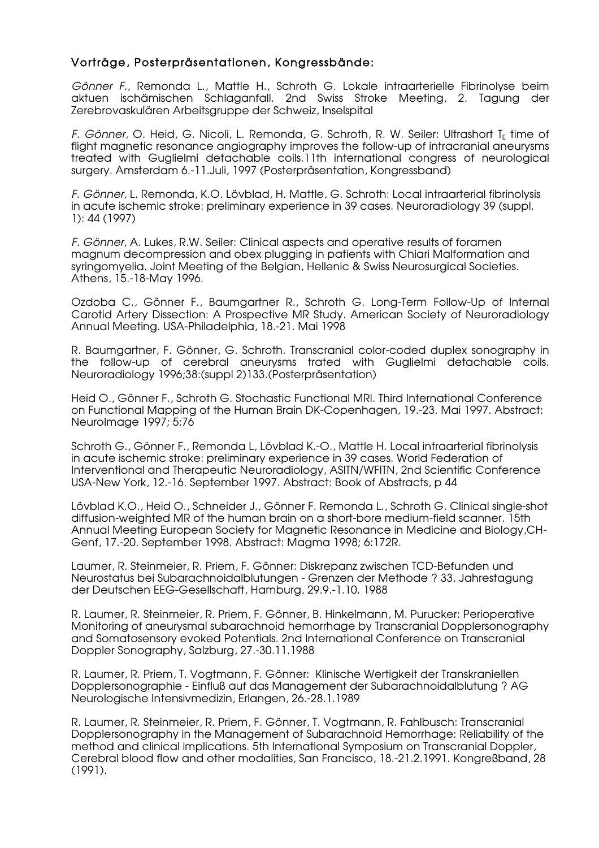## Vorträge, Posterpräsentationen, Kongressbände:

*Gönner F.*, Remonda L., Mattle H., Schroth G. Lokale intraarterielle Fibrinolyse beim aktuen ischämischen Schlaganfall. 2nd Swiss Stroke Meeting, 2. Tagung der Zerebrovaskulären Arbeitsgruppe der Schweiz, Inselspital

*F. Gönner,* O. Heid, G. Nicoli, L. Remonda, G. Schroth, R. W. Seiler: Ultrashort T<sub>F</sub> time of flight magnetic resonance angiography improves the follow-up of intracranial aneurysms treated with Guglielmi detachable coils.11th international congress of neurological surgery. Amsterdam 6.-11.Juli, 1997 (Posterpräsentation, Kongressband)

*F. Gönner,* L. Remonda, K.O. Lövblad, H. Mattle, G. Schroth: Local intraarterial fibrinolysis in acute ischemic stroke: preliminary experience in 39 cases. Neuroradiology 39 (suppl. 1): 44 (1997)

*F. Gönner*, A. Lukes, R.W. Seiler: Clinical aspects and operative results of foramen magnum decompression and obex plugging in patients with Chiari Malformation and syringomyelia. Joint Meeting of the Belgian, Hellenic & Swiss Neurosurgical Societies. Athens, 15.-18-May 1996.

Ozdoba C., Gönner F., Baumgartner R., Schroth G. Long-Term Follow-Up of Internal Carotid Artery Dissection: A Prospective MR Study. American Society of Neuroradiology Annual Meeting. USA-Philadelphia, 18.-21. Mai 1998

R. Baumgartner, F. Gönner, G. Schroth. Transcranial color-coded duplex sonography in the follow-up of cerebral aneurysms trated with Guglielmi detachable coils. Neuroradiology 1996;38:(suppl 2)133.(Posterpräsentation)

Heid O., Gönner F*.*, Schroth G. Stochastic Functional MRI. Third International Conference on Functional Mapping of the Human Brain DK-Copenhagen, 19.-23. Mai 1997. Abstract: NeuroImage 1997; 5:76

Schroth G., Gönner F., Remonda L, Lövblad K.-O., Mattle H. Local intraarterial fibrinolysis in acute ischemic stroke: preliminary experience in 39 cases. World Federation of Interventional and Therapeutic Neuroradiology, ASITN/WFITN, 2nd Scientific Conference USA-New York, 12.-16. September 1997. Abstract: Book of Abstracts, p 44

Lövblad K.O., Heid O., Schneider J., Gönner F. Remonda L., Schroth G. Clinical single-shot diffusion-weighted MR of the human brain on a short-bore medium-field scanner. 15th Annual Meeting European Society for Magnetic Resonance in Medicine and Biology,CH-Genf, 17.-20. September 1998. Abstract: Magma 1998; 6:172R.

Laumer, R. Steinmeier, R. Priem, F. Gönner: Diskrepanz zwischen TCD-Befunden und Neurostatus bei Subarachnoidalblutungen - Grenzen der Methode ? 33. Jahrestagung der Deutschen EEG-Gesellschaft, Hamburg, 29.9.-1.10. 1988

R. Laumer, R. Steinmeier, R. Priem, F. Gönner, B. Hinkelmann, M. Purucker: Perioperative Monitoring of aneurysmal subarachnoid hemorrhage by Transcranial Dopplersonography and Somatosensory evoked Potentials. 2nd International Conference on Transcranial Doppler Sonography, Salzburg, 27.-30.11.1988

R. Laumer, R. Priem, T. Vogtmann, F. Gönner: Klinische Wertigkeit der Transkraniellen Dopplersonographie - Einfluß auf das Management der Subarachnoidalblutung ? AG Neurologische Intensivmedizin, Erlangen, 26.-28.1.1989

R. Laumer, R. Steinmeier, R. Priem, F. Gönner, T. Vogtmann, R. Fahlbusch: Transcranial Dopplersonography in the Management of Subarachnoid Hemorrhage: Reliability of the method and clinical implications. 5th International Symposium on Transcranial Doppler, Cerebral blood flow and other modalities, San Francisco, 18.-21.2.1991. Kongreßband, 28 (1991).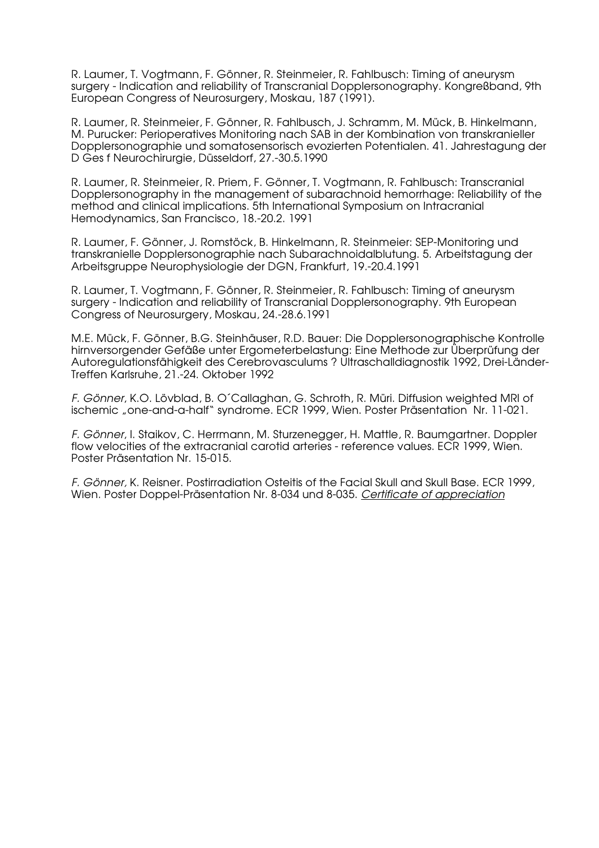R. Laumer, T. Vogtmann, F. Gönner, R. Steinmeier, R. Fahlbusch: Timing of aneurysm surgery - Indication and reliability of Transcranial Dopplersonography. Kongreßband, 9th European Congress of Neurosurgery, Moskau, 187 (1991).

R. Laumer, R. Steinmeier, F. Gönner, R. Fahlbusch, J. Schramm, M. Mück, B. Hinkelmann, M. Purucker: Perioperatives Monitoring nach SAB in der Kombination von transkranieller Dopplersonographie und somatosensorisch evozierten Potentialen. 41. Jahrestagung der D Ges f Neurochirurgie, Düsseldorf, 27.-30.5.1990

R. Laumer, R. Steinmeier, R. Priem, F. Gönner, T. Vogtmann, R. Fahlbusch: Transcranial Dopplersonography in the management of subarachnoid hemorrhage: Reliability of the method and clinical implications. 5th International Symposium on Intracranial Hemodynamics, San Francisco, 18.-20.2. 1991

R. Laumer, F. Gönner, J. Romstöck, B. Hinkelmann, R. Steinmeier: SEP-Monitoring und transkranielle Dopplersonographie nach Subarachnoidalblutung. 5. Arbeitstagung der Arbeitsgruppe Neurophysiologie der DGN, Frankfurt, 19.-20.4.1991

R. Laumer, T. Vogtmann, F. Gönner, R. Steinmeier, R. Fahlbusch: Timing of aneurysm surgery - Indication and reliability of Transcranial Dopplersonography. 9th European Congress of Neurosurgery, Moskau, 24.-28.6.1991

M.E. Mück, F. Gönner, B.G. Steinhäuser, R.D. Bauer: Die Dopplersonographische Kontrolle hirnversorgender Gefäße unter Ergometerbelastung: Eine Methode zur Überprüfung der Autoregulationsfähigkeit des Cerebrovasculums ? Ultraschalldiagnostik 1992, Drei-Länder-Treffen Karlsruhe, 21.-24. Oktober 1992

*F. Gönner*, K.O. Lövblad, B. O´Callaghan, G. Schroth, R. Müri. Diffusion weighted MRI of ischemic "one-and-a-half" syndrome. ECR 1999, Wien. Poster Präsentation Nr. 11-021.

*F. Gönner*, I. Staikov, C. Herrmann, M. Sturzenegger, H. Mattle, R. Baumgartner. Doppler flow velocities of the extracranial carotid arteries - reference values. ECR 1999, Wien. Poster Präsentation Nr. 15-015.

*F. Gönner,* K. Reisner. Postirradiation Osteitis of the Facial Skull and Skull Base. ECR 1999, Wien. Poster Doppel-Präsentation Nr. 8-034 und 8-035. *Certificate of appreciation*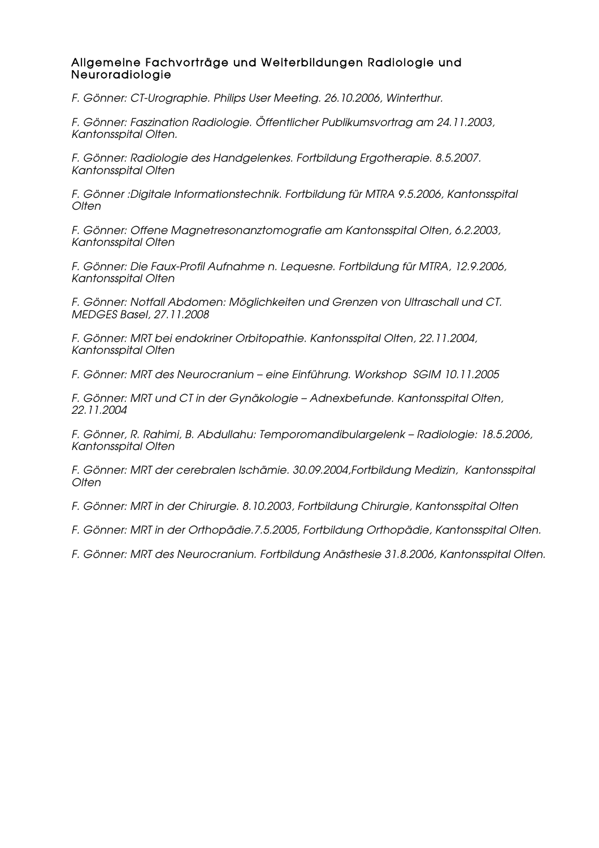### Allgemeine Fachvorträge und Weiterbildungen Radiologie und Neuroradiologie

*F. Gönner: CT-Urographie. Philips User Meeting. 26.10.2006, Winterthur.*

*F. Gönner: Faszination Radiologie. Öffentlicher Publikumsvortrag am 24.11.2003, Kantonsspital Olten.*

*F. Gönner: Radiologie des Handgelenkes. Fortbildung Ergotherapie. 8.5.2007. Kantonsspital Olten*

*F. Gönner :Digitale Informationstechnik. Fortbildung für MTRA 9.5.2006, Kantonsspital Olten*

*F. Gönner: Offene Magnetresonanztomografie am Kantonsspital Olten, 6.2.2003, Kantonsspital Olten*

*F. Gönner: Die Faux-Profil Aufnahme n. Lequesne. Fortbildung für MTRA, 12.9.2006, Kantonsspital Olten*

*F. Gönner: Notfall Abdomen: Möglichkeiten und Grenzen von Ultraschall und CT. MEDGES Basel, 27.11.2008*

*F. Gönner: MRT bei endokriner Orbitopathie. Kantonsspital Olten, 22.11.2004, Kantonsspital Olten*

*F. Gönner: MRT des Neurocranium – eine Einführung. Workshop SGIM 10.11.2005*

*F. Gönner: MRT und CT in der Gynäkologie – Adnexbefunde. Kantonsspital Olten, 22.11.2004*

*F. Gönner, R. Rahimi, B. Abdullahu: Temporomandibulargelenk – Radiologie: 18.5.2006, Kantonsspital Olten*

*F. Gönner: MRT der cerebralen Ischämie. 30.09.2004,Fortbildung Medizin, Kantonsspital Olten*

*F. Gönner: MRT in der Chirurgie. 8.10.2003, Fortbildung Chirurgie, Kantonsspital Olten*

*F. Gönner: MRT in der Orthopädie.7.5.2005, Fortbildung Orthopädie, Kantonsspital Olten.* 

*F. Gönner: MRT des Neurocranium. Fortbildung Anästhesie 31.8.2006, Kantonsspital Olten.*